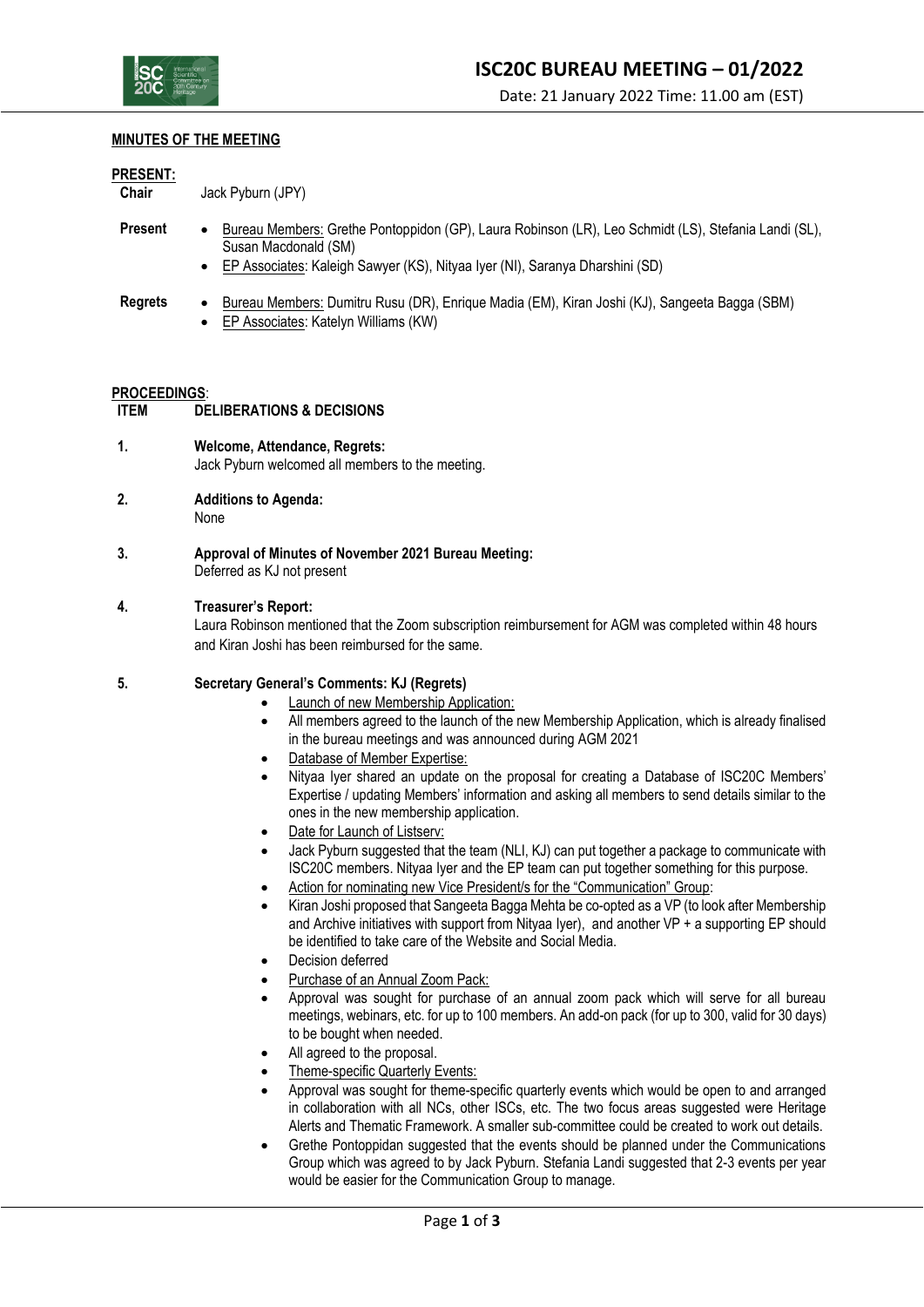

#### **MINUTES OF THE MEETING**

#### **PRESENT:**

**Chair** Jack Pyburn (JPY)

- **Present** Bureau Members: Grethe Pontoppidon (GP), Laura Robinson (LR), Leo Schmidt (LS), Stefania Landi (SL), Susan Macdonald (SM)
	- EP Associates: Kaleigh Sawyer (KS), Nityaa Iyer (NI), Saranya Dharshini (SD)
- **Regrets** Bureau Members: Dumitru Rusu (DR), Enrique Madia (EM), Kiran Joshi (KJ), Sangeeta Bagga (SBM)
	- EP Associates: Katelyn Williams (KW)

#### **PROCEEDINGS**:

- **ITEM DELIBERATIONS & DECISIONS**
- **1. Welcome, Attendance, Regrets:** Jack Pyburn welcomed all members to the meeting.
- **2. Additions to Agenda:** None
- **3. Approval of Minutes of November 2021 Bureau Meeting:** Deferred as KJ not present

### **4. Treasurer's Report:**

Laura Robinson mentioned that the Zoom subscription reimbursement for AGM was completed within 48 hours and Kiran Joshi has been reimbursed for the same.

#### **5. Secretary General's Comments: KJ (Regrets)**

- Launch of new Membership Application:
- All members agreed to the launch of the new Membership Application, which is already finalised in the bureau meetings and was announced during AGM 2021
- Database of Member Expertise:
- Nityaa Iyer shared an update on the proposal for creating a Database of ISC20C Members' Expertise / updating Members' information and asking all members to send details similar to the ones in the new membership application.
- Date for Launch of Listserv:
- Jack Pyburn suggested that the team (NLI, KJ) can put together a package to communicate with ISC20C members. Nityaa Iyer and the EP team can put together something for this purpose.
- Action for nominating new Vice President/s for the "Communication" Group:
- Kiran Joshi proposed that Sangeeta Bagga Mehta be co-opted as a VP (to look after Membership and Archive initiatives with support from Nityaa Iyer), and another VP + a supporting EP should be identified to take care of the Website and Social Media.
- Decision deferred
- Purchase of an Annual Zoom Pack:
- Approval was sought for purchase of an annual zoom pack which will serve for all bureau meetings, webinars, etc. for up to 100 members. An add-on pack (for up to 300, valid for 30 days) to be bought when needed.
- All agreed to the proposal.
- Theme-specific Quarterly Events:
- Approval was sought for theme-specific quarterly events which would be open to and arranged in collaboration with all NCs, other ISCs, etc. The two focus areas suggested were Heritage Alerts and Thematic Framework. A smaller sub-committee could be created to work out details.
- Grethe Pontoppidan suggested that the events should be planned under the Communications Group which was agreed to by Jack Pyburn. Stefania Landi suggested that 2-3 events per year would be easier for the Communication Group to manage.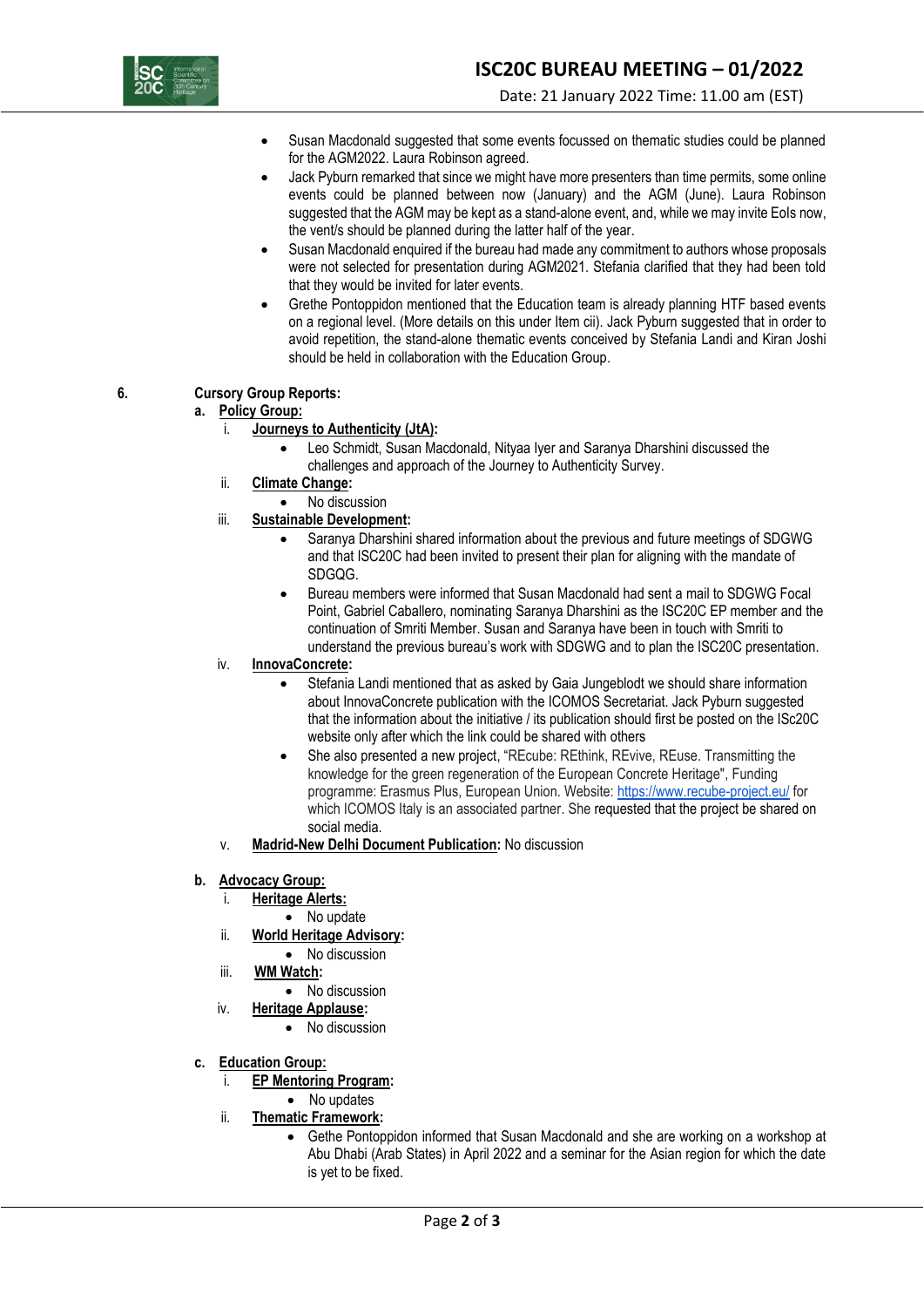

- Susan Macdonald suggested that some events focussed on thematic studies could be planned for the AGM2022. Laura Robinson agreed.
- Jack Pyburn remarked that since we might have more presenters than time permits, some online events could be planned between now (January) and the AGM (June). Laura Robinson suggested that the AGM may be kept as a stand-alone event, and, while we may invite EoIs now, the vent/s should be planned during the latter half of the year.
- Susan Macdonald enquired if the bureau had made any commitment to authors whose proposals were not selected for presentation during AGM2021. Stefania clarified that they had been told that they would be invited for later events.
- Grethe Pontoppidon mentioned that the Education team is already planning HTF based events on a regional level. (More details on this under Item cii). Jack Pyburn suggested that in order to avoid repetition, the stand-alone thematic events conceived by Stefania Landi and Kiran Joshi should be held in collaboration with the Education Group.

# **6. Cursory Group Reports:**

## **a. Policy Group:**

# i. **Journeys to Authenticity (JtA):**

- Leo Schmidt, Susan Macdonald, Nityaa Iyer and Saranya Dharshini discussed the challenges and approach of the Journey to Authenticity Survey.
- ii. **Climate Change:**
	- No discussion
- iii. **Sustainable Development:**
	- Saranya Dharshini shared information about the previous and future meetings of SDGWG and that ISC20C had been invited to present their plan for aligning with the mandate of SDGQG.
	- Bureau members were informed that Susan Macdonald had sent a mail to SDGWG Focal Point, Gabriel Caballero, nominating Saranya Dharshini as the ISC20C EP member and the continuation of Smriti Member. Susan and Saranya have been in touch with Smriti to understand the previous bureau's work with SDGWG and to plan the ISC20C presentation.

## iv. **InnovaConcrete:**

- Stefania Landi mentioned that as asked by Gaia Jungeblodt we should share information about InnovaConcrete publication with the ICOMOS Secretariat. Jack Pyburn suggested that the information about the initiative / its publication should first be posted on the ISc20C website only after which the link could be shared with others
- She also presented a new project, "REcube: REthink, REvive, REuse. Transmitting the knowledge for the green regeneration of the European Concrete Heritage", Funding programme: Erasmus Plus, European Union. Website: <https://www.recube-project.eu/> for which ICOMOS Italy is an associated partner. She requested that the project be shared on social media.
- v. **Madrid-New Delhi Document Publication:** No discussion

## **b. Advocacy Group:**

- i. **Heritage Alerts:**
	- No update
- ii. **World Heritage Advisory:** 
	- No discussion
- iii. **WM Watch:** 
	- No discussion
- iv. **Heritage Applause:** 
	- No discussion
- **c. Education Group:**
	- i. **EP Mentoring Program:** 
		- No updates
	- ii. **Thematic Framework:** 
		- Gethe Pontoppidon informed that Susan Macdonald and she are working on a workshop at Abu Dhabi (Arab States) in April 2022 and a seminar for the Asian region for which the date is yet to be fixed.